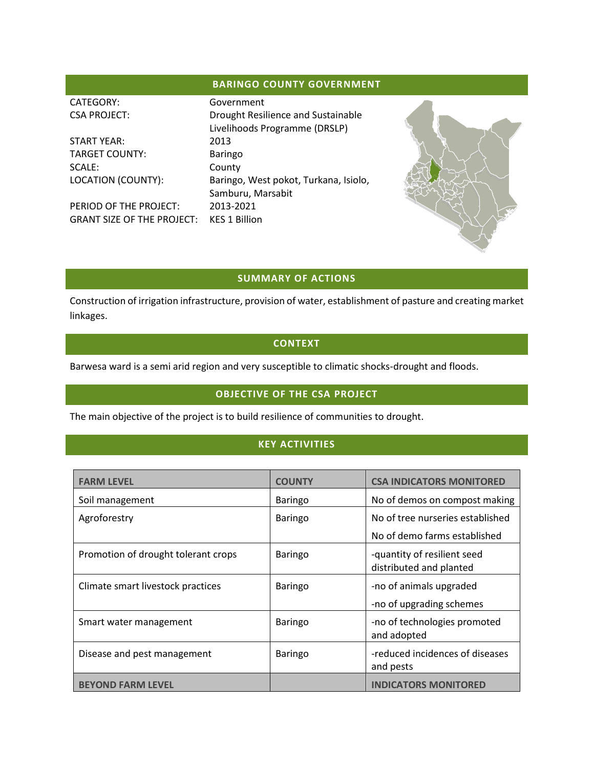## **BARINGO COUNTY GOVERNMENT**

| CATEGORY:                         | Government                            |  |
|-----------------------------------|---------------------------------------|--|
| <b>CSA PROJECT:</b>               | Drought Resilience and Sustainable    |  |
|                                   | Livelihoods Programme (DRSLP)         |  |
| <b>START YEAR:</b>                | 2013                                  |  |
| <b>TARGET COUNTY:</b>             | <b>Baringo</b>                        |  |
| SCALE:                            | County                                |  |
| LOCATION (COUNTY):                | Baringo, West pokot, Turkana, Isiolo, |  |
|                                   | Samburu, Marsabit                     |  |
| PERIOD OF THE PROJECT:            | 2013-2021                             |  |
| <b>GRANT SIZE OF THE PROJECT:</b> | <b>KES 1 Billion</b>                  |  |
|                                   |                                       |  |

#### **SUMMARY OF ACTIONS**

Construction of irrigation infrastructure, provision of water, establishment of pasture and creating market linkages.

### **CONTEXT**

Barwesa ward is a semi arid region and very susceptible to climatic shocks-drought and floods.

## **OBJECTIVE OF THE CSA PROJECT**

The main objective of the project is to build resilience of communities to drought.

### **KEY ACTIVITIES**

| <b>FARM LEVEL</b>                   | <b>COUNTY</b>  | <b>CSA INDICATORS MONITORED</b>                        |
|-------------------------------------|----------------|--------------------------------------------------------|
| Soil management                     | <b>Baringo</b> | No of demos on compost making                          |
| Agroforestry                        | Baringo        | No of tree nurseries established                       |
|                                     |                | No of demo farms established                           |
| Promotion of drought tolerant crops | Baringo        | -quantity of resilient seed<br>distributed and planted |
| Climate smart livestock practices   | <b>Baringo</b> | -no of animals upgraded<br>-no of upgrading schemes    |
| Smart water management              | <b>Baringo</b> | -no of technologies promoted<br>and adopted            |
| Disease and pest management         | Baringo        | -reduced incidences of diseases<br>and pests           |
| <b>BEYOND FARM LEVEL</b>            |                | <b>INDICATORS MONITORED</b>                            |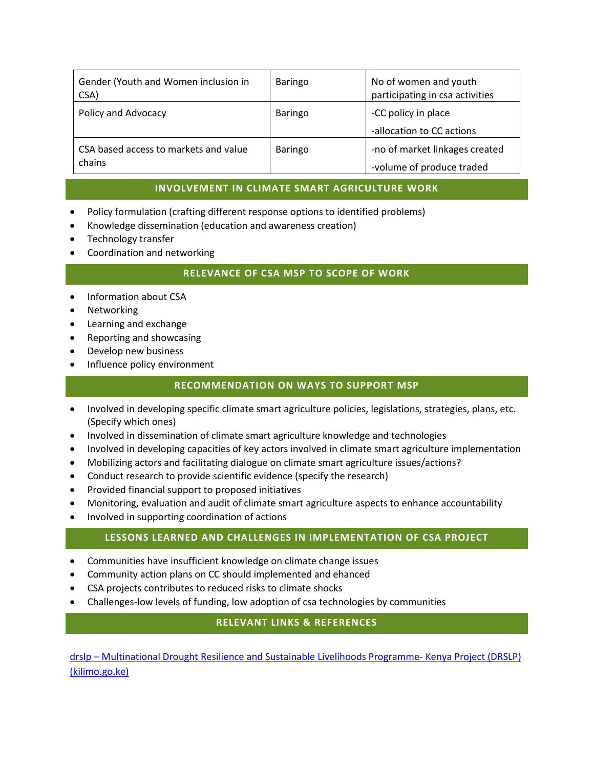| Gender (Youth and Women inclusion in<br>CSA)    | Baringo        | No of women and youth<br>participating in csa activities    |
|-------------------------------------------------|----------------|-------------------------------------------------------------|
| Policy and Advocacy                             | <b>Baringo</b> | -CC policy in place<br>-allocation to CC actions            |
| CSA based access to markets and value<br>chains | <b>Baringo</b> | -no of market linkages created<br>-volume of produce traded |

### **INVOLVEMENT IN CLIMATE SMART AGRICULTURE WORK**

- Policy formulation (crafting different response options to identified problems)
- Knowledge dissemination (education and awareness creation)
- Technology transfer
- Coordination and networking

#### **RELEVANCE OF CSA MSP TO SCOPE OF WORK**

- Information about CSA
- Networking
- Learning and exchange
- Reporting and showcasing
- Develop new business
- Influence policy environment

#### **RECOMMENDATION ON WAYS TO SUPPORT MSP**

- Involved in developing specific climate smart agriculture policies, legislations, strategies, plans, etc. (Specify which ones)
- Involved in dissemination of climate smart agriculture knowledge and technologies
- Involved in developing capacities of key actors involved in climate smart agriculture implementation
- Mobilizing actors and facilitating dialogue on climate smart agriculture issues/actions?
- Conduct research to provide scientific evidence (specify the research)
- Provided financial support to proposed initiatives
- Monitoring, evaluation and audit of climate smart agriculture aspects to enhance accountability
- Involved in supporting coordination of actions

#### **LESSONS LEARNED AND CHALLENGES IN IMPLEMENTATION OF CSA PROJECT**

- Communities have insufficient knowledge on climate change issues
- Community action plans on CC should implemented and ehanced
- CSA projects contributes to reduced risks to climate shocks
- Challenges-low levels of funding, low adoption of csa technologies by communities

#### **RELEVANT LINKS & REFERENCES**

drslp – [Multinational Drought Resilience and Sustainable Livelihoods Programme-](http://drslpkenya.kilimo.go.ke/) Kenya Project (DRSLP) [\(kilimo.go.ke\)](http://drslpkenya.kilimo.go.ke/)